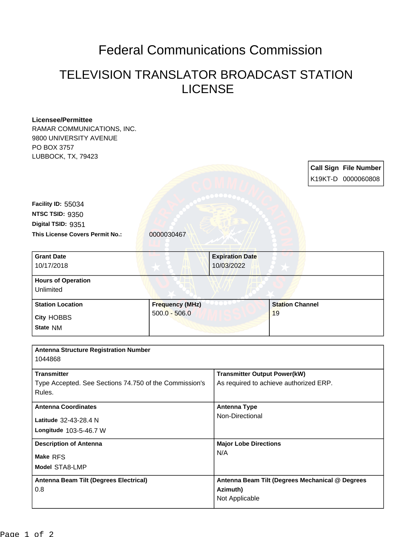## Federal Communications Commission

## TELEVISION TRANSLATOR BROADCAST STATION LICENSE

| <b>Licensee/Permittee</b>                              |                        |                                        |                        |                                                 |                |  |
|--------------------------------------------------------|------------------------|----------------------------------------|------------------------|-------------------------------------------------|----------------|--|
| RAMAR COMMUNICATIONS, INC.                             |                        |                                        |                        |                                                 |                |  |
| 9800 UNIVERSITY AVENUE                                 |                        |                                        |                        |                                                 |                |  |
| PO BOX 3757                                            |                        |                                        |                        |                                                 |                |  |
| LUBBOCK, TX, 79423                                     |                        |                                        |                        |                                                 |                |  |
|                                                        |                        |                                        |                        | <b>Call Sign File Number</b>                    |                |  |
|                                                        |                        |                                        |                        | K19KT-D 0000060808                              |                |  |
|                                                        |                        |                                        |                        |                                                 |                |  |
|                                                        |                        |                                        |                        |                                                 |                |  |
| Facility ID: 55034                                     |                        |                                        |                        |                                                 |                |  |
| NTSC TSID: 9350                                        |                        |                                        |                        |                                                 |                |  |
| Digital TSID: 9351                                     |                        |                                        |                        |                                                 |                |  |
| This License Covers Permit No.:                        | 0000030467             |                                        |                        |                                                 |                |  |
|                                                        |                        |                                        |                        |                                                 |                |  |
| <b>Grant Date</b>                                      |                        | <b>Expiration Date</b>                 |                        |                                                 |                |  |
| 10/17/2018                                             |                        | 10/03/2022                             |                        |                                                 |                |  |
|                                                        |                        |                                        |                        |                                                 |                |  |
| <b>Hours of Operation</b>                              |                        |                                        |                        |                                                 |                |  |
| Unlimited                                              |                        |                                        |                        |                                                 |                |  |
| <b>Station Location</b>                                | <b>Frequency (MHz)</b> |                                        | <b>Station Channel</b> |                                                 |                |  |
|                                                        | $500.0 - 506.0$        |                                        | 19                     |                                                 |                |  |
| <b>City HOBBS</b>                                      |                        |                                        |                        |                                                 |                |  |
| State NM                                               |                        |                                        |                        |                                                 |                |  |
|                                                        |                        |                                        |                        |                                                 |                |  |
| <b>Antenna Structure Registration Number</b>           |                        |                                        |                        |                                                 |                |  |
| 1044868                                                |                        |                                        |                        |                                                 |                |  |
| <b>Transmitter</b>                                     |                        | <b>Transmitter Output Power(kW)</b>    |                        |                                                 |                |  |
| Type Accepted. See Sections 74.750 of the Commission's |                        | As required to achieve authorized ERP. |                        |                                                 |                |  |
| Rules.                                                 |                        |                                        |                        |                                                 |                |  |
|                                                        |                        |                                        |                        |                                                 |                |  |
| <b>Antenna Coordinates</b>                             |                        | <b>Antenna Type</b><br>Non-Directional |                        |                                                 |                |  |
| Latitude 32-43-28.4 N                                  |                        |                                        |                        |                                                 |                |  |
| Longitude 103-5-46.7 W                                 |                        |                                        |                        |                                                 |                |  |
|                                                        |                        |                                        |                        |                                                 |                |  |
| <b>Description of Antenna</b><br>Make RFS              |                        | <b>Major Lobe Directions</b><br>N/A    |                        |                                                 |                |  |
|                                                        |                        |                                        |                        |                                                 | Model STA8-LMP |  |
| <b>Antenna Beam Tilt (Degrees Electrical)</b>          |                        |                                        |                        | Antenna Beam Tilt (Degrees Mechanical @ Degrees |                |  |
| 0.8                                                    |                        | Azimuth)                               |                        |                                                 |                |  |
|                                                        |                        | Not Applicable                         |                        |                                                 |                |  |
|                                                        |                        |                                        |                        |                                                 |                |  |